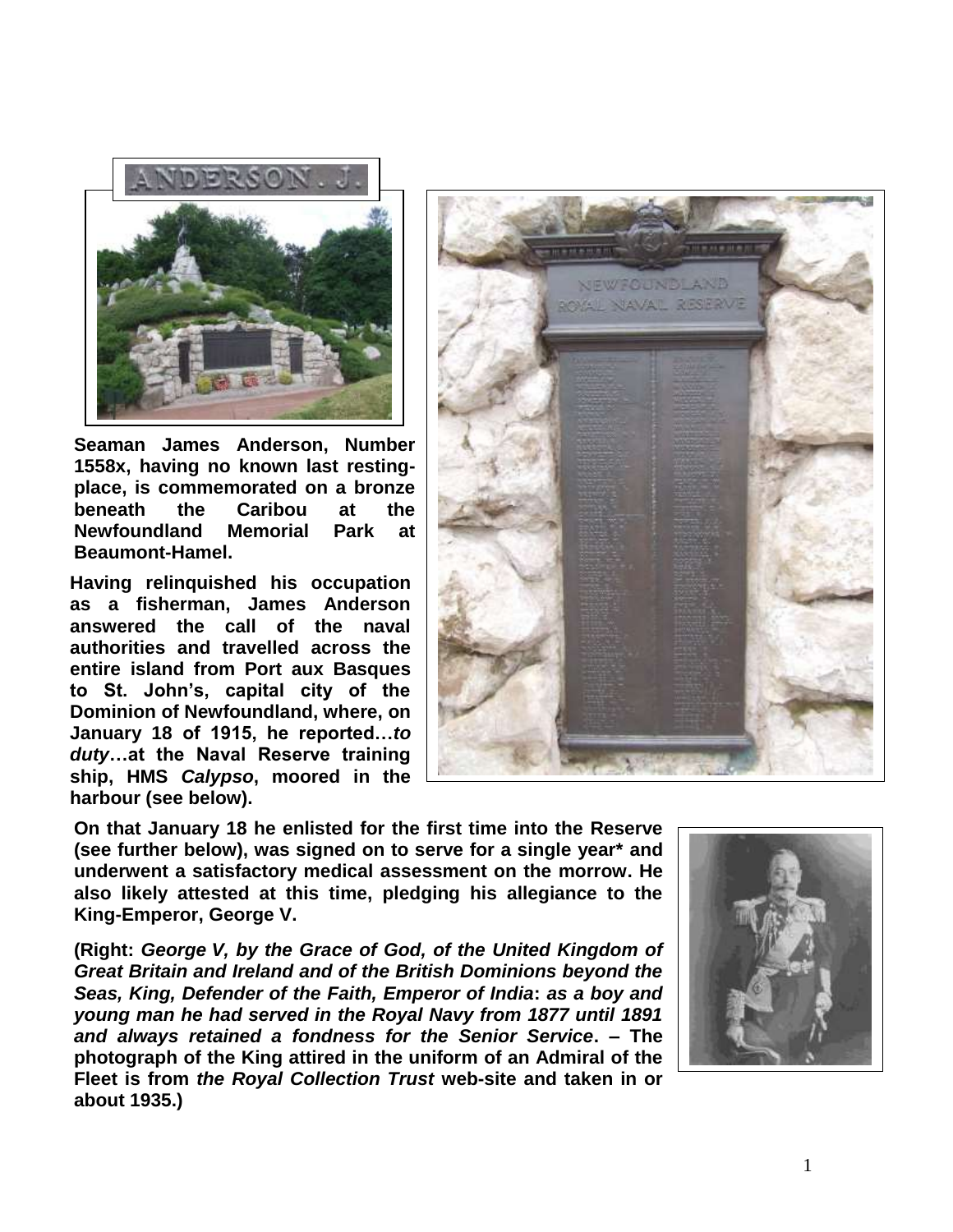

**Seaman James Anderson, Number 1558x, having no known last restingplace, is commemorated on a bronze beneath the Caribou at the Newfoundland Memorial Park at Beaumont-Hamel.**

**Having relinquished his occupation as a fisherman, James Anderson answered the call of the naval authorities and travelled across the entire island from Port aux Basques to St. John's, capital city of the Dominion of Newfoundland, where, on January 18 of 1915, he reported…***to duty***…at the Naval Reserve training ship, HMS** *Calypso***, moored in the harbour (see below).**



**On that January 18 he enlisted for the first time into the Reserve (see further below), was signed on to serve for a single year\* and underwent a satisfactory medical assessment on the morrow. He also likely attested at this time, pledging his allegiance to the King-Emperor, George V.**

**(Right:** *George V, by the Grace of God, of the United Kingdom of Great Britain and Ireland and of the British Dominions beyond the Seas, King, Defender of the Faith, Emperor of India***:** *as a boy and young man he had served in the Royal Navy from 1877 until 1891 and always retained a fondness for the Senior Service***. – The photograph of the King attired in the uniform of an Admiral of the Fleet is from** *the Royal Collection Trust* **web-site and taken in or about 1935.)**

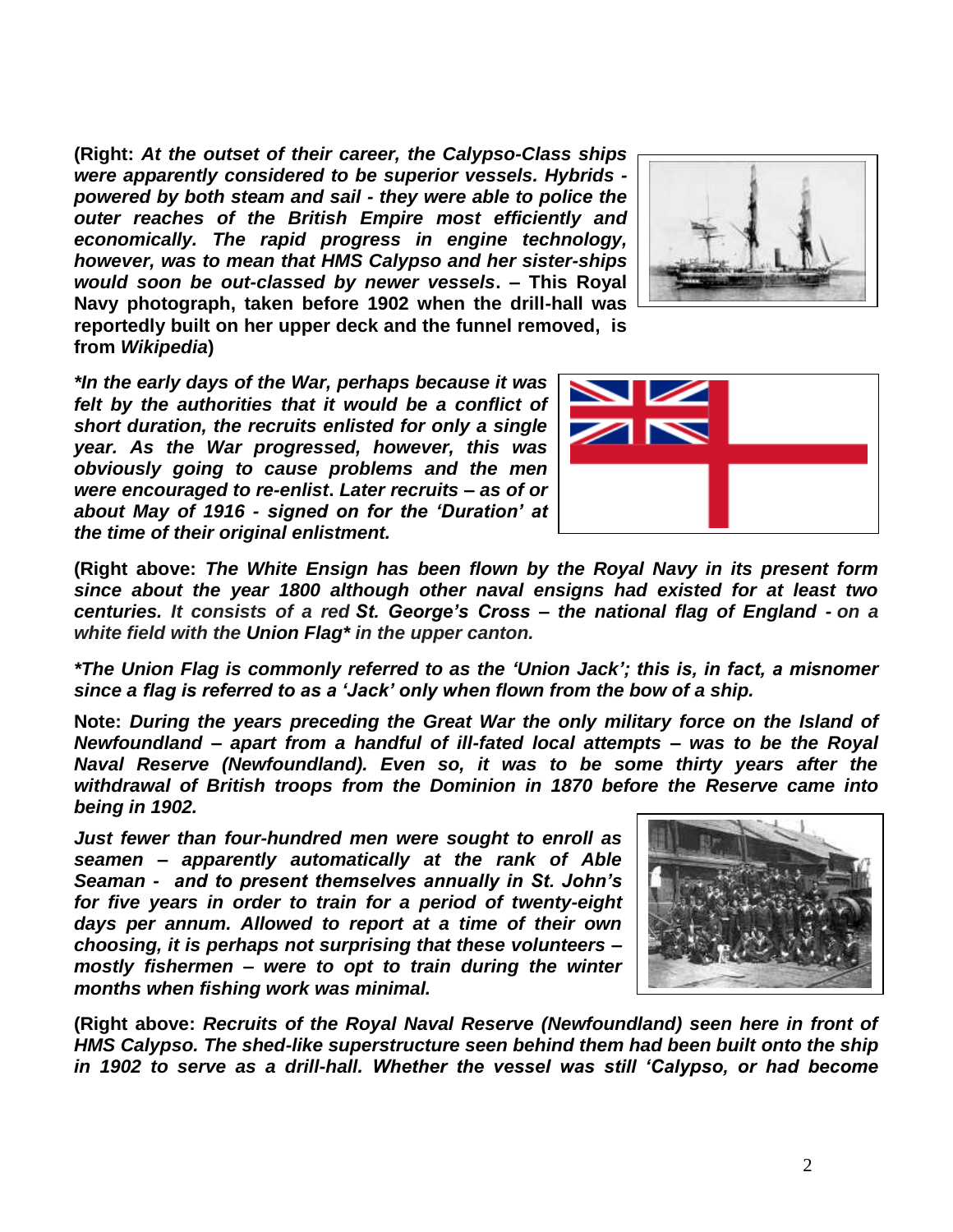**(Right:** *At the outset of their career, the Calypso-Class ships were apparently considered to be superior vessels. Hybrids powered by both steam and sail - they were able to police the outer reaches of the British Empire most efficiently and economically. The rapid progress in engine technology, however, was to mean that HMS Calypso and her sister-ships would soon be out-classed by newer vessels***. – This Royal Navy photograph, taken before 1902 when the drill-hall was reportedly built on her upper deck and the funnel removed, is from** *Wikipedia***)**



*\*In the early days of the War, perhaps because it was felt by the authorities that it would be a conflict of short duration, the recruits enlisted for only a single year. As the War progressed, however, this was obviously going to cause problems and the men were encouraged to re-enlist***.** *Later recruits – as of or about May of 1916 - signed on for the 'Duration' at the time of their original enlistment.*



**(Right above:** *The White Ensign has been flown by the Royal Navy in its present form since about the year 1800 although other naval ensigns had existed for at least two centuries. It consists of a red St. George's Cross – the national flag of England - on a white field with the Union Flag\* in the upper canton.*

*\*The Union Flag is commonly referred to as the 'Union Jack'; this is, in fact, a misnomer since a flag is referred to as a 'Jack' only when flown from the bow of a ship.*

**Note:** *During the years preceding the Great War the only military force on the Island of Newfoundland – apart from a handful of ill-fated local attempts – was to be the Royal Naval Reserve (Newfoundland). Even so, it was to be some thirty years after the withdrawal of British troops from the Dominion in 1870 before the Reserve came into being in 1902.* 

*Just fewer than four-hundred men were sought to enroll as seamen – apparently automatically at the rank of Able Seaman - and to present themselves annually in St. John's for five years in order to train for a period of twenty-eight days per annum. Allowed to report at a time of their own choosing, it is perhaps not surprising that these volunteers – mostly fishermen – were to opt to train during the winter months when fishing work was minimal.*



**(Right above:** *Recruits of the Royal Naval Reserve (Newfoundland) seen here in front of HMS Calypso. The shed-like superstructure seen behind them had been built onto the ship in 1902 to serve as a drill-hall. Whether the vessel was still 'Calypso, or had become*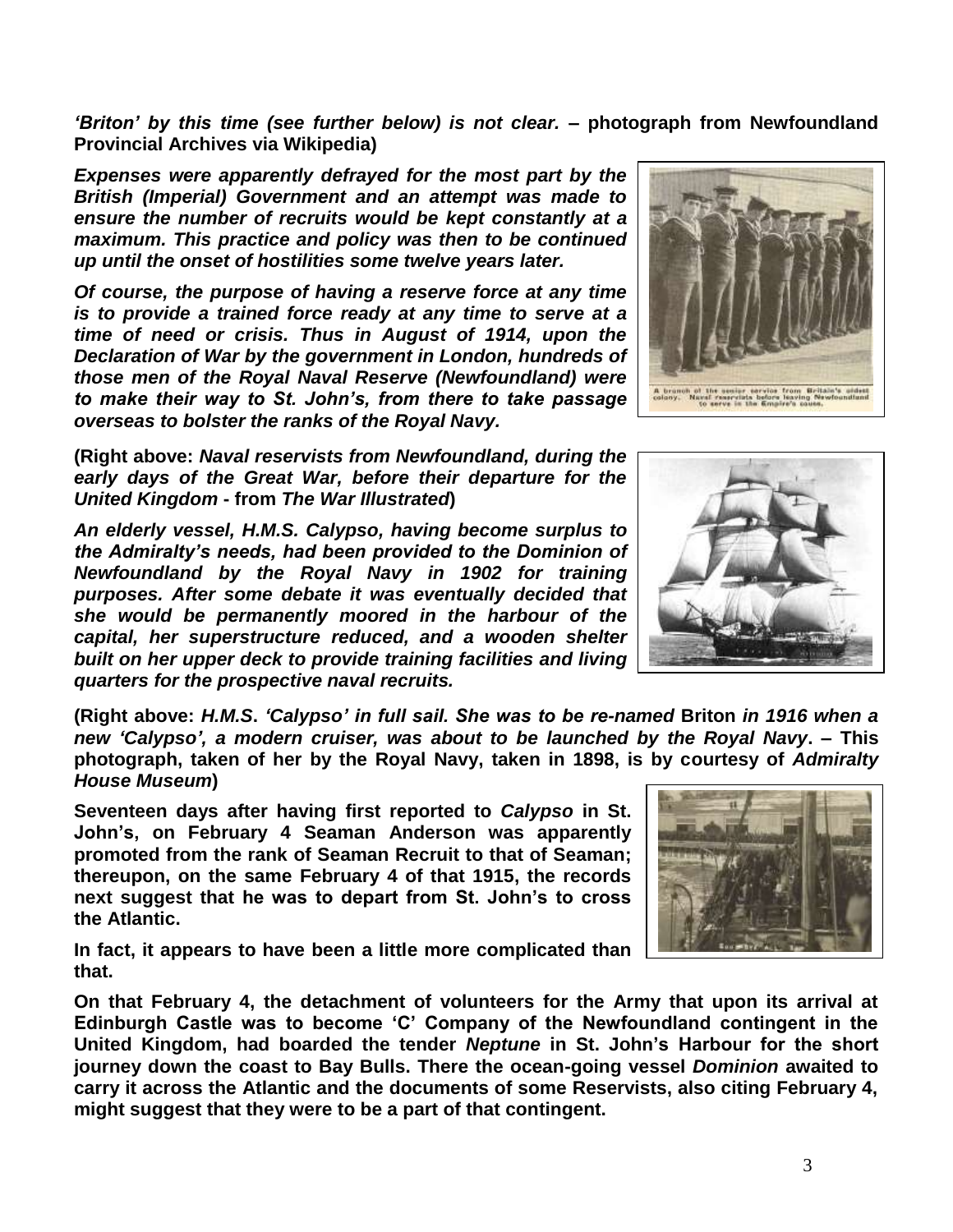3

*'Briton' by this time (see further below) is not clear.* **– photograph from Newfoundland Provincial Archives via Wikipedia)**

*Expenses were apparently defrayed for the most part by the British (Imperial) Government and an attempt was made to ensure the number of recruits would be kept constantly at a maximum. This practice and policy was then to be continued up until the onset of hostilities some twelve years later.*

*Of course, the purpose of having a reserve force at any time is to provide a trained force ready at any time to serve at a time of need or crisis. Thus in August of 1914, upon the Declaration of War by the government in London, hundreds of those men of the Royal Naval Reserve (Newfoundland) were to make their way to St. John's, from there to take passage overseas to bolster the ranks of the Royal Navy.*

**(Right above:** *Naval reservists from Newfoundland, during the early days of the Great War, before their departure for the United Kingdom* **- from** *The War Illustrated***)**

*An elderly vessel, H.M.S. Calypso, having become surplus to the Admiralty's needs, had been provided to the Dominion of Newfoundland by the Royal Navy in 1902 for training purposes. After some debate it was eventually decided that she would be permanently moored in the harbour of the capital, her superstructure reduced, and a wooden shelter built on her upper deck to provide training facilities and living quarters for the prospective naval recruits.*

**(Right above:** *H.M.S***.** *'Calypso' in full sail. She was to be re-named* **Briton** *in 1916 when a new 'Calypso', a modern cruiser, was about to be launched by the Royal Navy***. – This photograph, taken of her by the Royal Navy, taken in 1898, is by courtesy of** *Admiralty House Museum***)**

**Seventeen days after having first reported to** *Calypso* **in St. John's, on February 4 Seaman Anderson was apparently promoted from the rank of Seaman Recruit to that of Seaman; thereupon, on the same February 4 of that 1915, the records next suggest that he was to depart from St. John's to cross the Atlantic.** 

**In fact, it appears to have been a little more complicated than that.** 

**On that February 4, the detachment of volunteers for the Army that upon its arrival at Edinburgh Castle was to become 'C' Company of the Newfoundland contingent in the United Kingdom, had boarded the tender** *Neptune* **in St. John's Harbour for the short journey down the coast to Bay Bulls. There the ocean-going vessel** *Dominion* **awaited to carry it across the Atlantic and the documents of some Reservists, also citing February 4, might suggest that they were to be a part of that contingent.** 







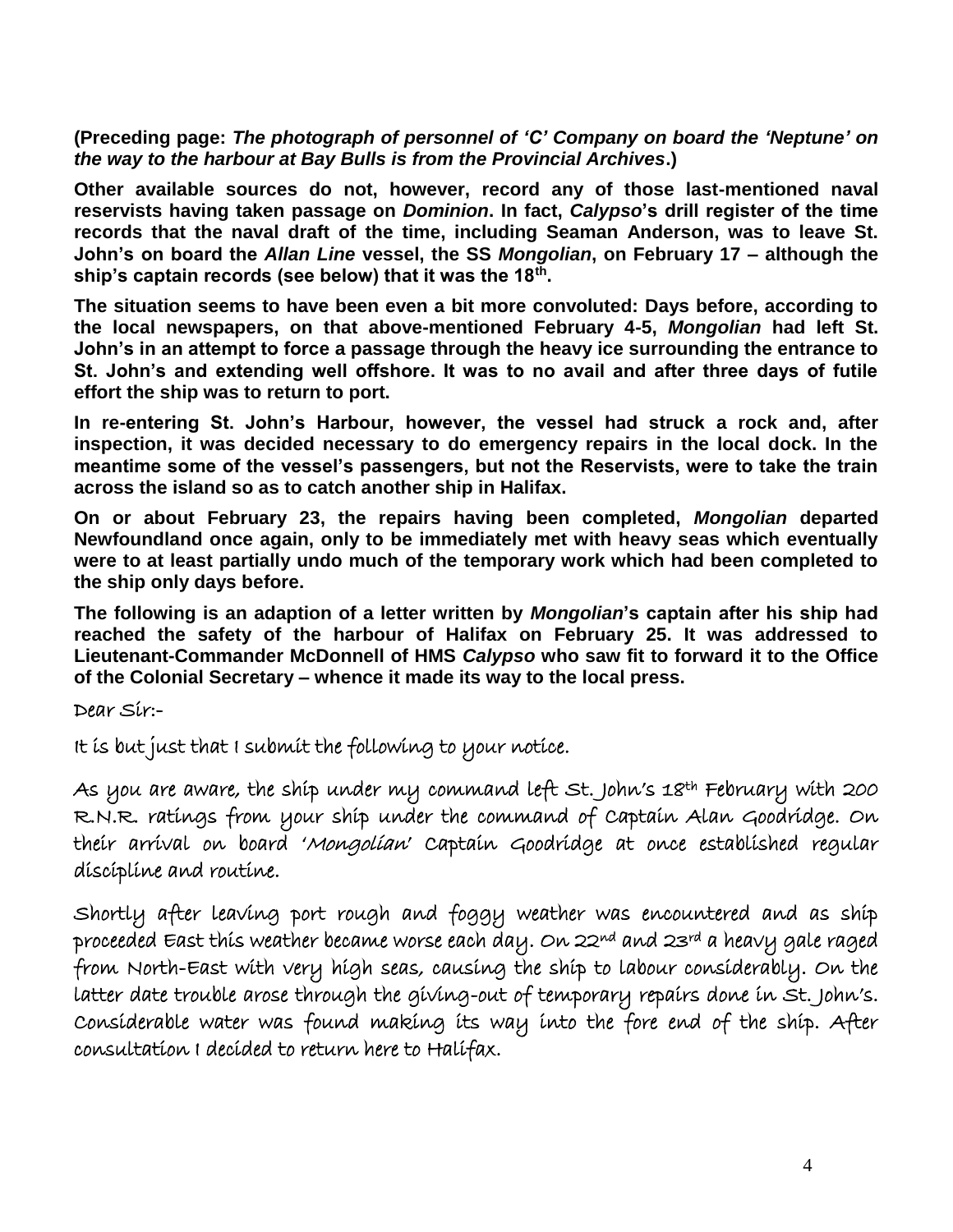**(Preceding page:** *The photograph of personnel of 'C' Company on board the 'Neptune' on the way to the harbour at Bay Bulls is from the Provincial Archives***.)**

**Other available sources do not, however, record any of those last-mentioned naval reservists having taken passage on** *Dominion***. In fact,** *Calypso***'s drill register of the time records that the naval draft of the time, including Seaman Anderson, was to leave St. John's on board the** *Allan Line* **vessel, the SS** *Mongolian***, on February 17 – although the ship's captain records (see below) that it was the 18th .**

**The situation seems to have been even a bit more convoluted: Days before, according to the local newspapers, on that above-mentioned February 4-5,** *Mongolian* **had left St. John's in an attempt to force a passage through the heavy ice surrounding the entrance to St. John's and extending well offshore. It was to no avail and after three days of futile effort the ship was to return to port.**

**In re-entering St. John's Harbour, however, the vessel had struck a rock and, after inspection, it was decided necessary to do emergency repairs in the local dock. In the meantime some of the vessel's passengers, but not the Reservists, were to take the train across the island so as to catch another ship in Halifax.** 

**On or about February 23, the repairs having been completed,** *Mongolian* **departed Newfoundland once again, only to be immediately met with heavy seas which eventually were to at least partially undo much of the temporary work which had been completed to the ship only days before.**

**The following is an adaption of a letter written by** *Mongolian***'s captain after his ship had reached the safety of the harbour of Halifax on February 25. It was addressed to Lieutenant-Commander McDonnell of HMS** *Calypso* **who saw fit to forward it to the Office of the Colonial Secretary – whence it made its way to the local press.**

Dear Sir:-

It is but just that I submit the following to your notice.

As you are aware, the ship under my command left St. John's 18<sup>th</sup> February with 200 R.N.R. ratings from your ship under the command of Captain Alan Goodridge. On their arrival on board 'Mongolian' Captain Goodridge at once established regular discipline and routine.

Shortly after leaving port rough and foggy weather was encountered and as ship proceeded East this weather became worse each day. On 22nd and 23rd a heavy gale raged from North-East with very high seas, causing the ship to labour considerably. On the latter date trouble arose through the giving-out of temporary repairs done in St. John's. Considerable water was found making its way into the fore end of the ship. After consultation I decided to return here to Halifax.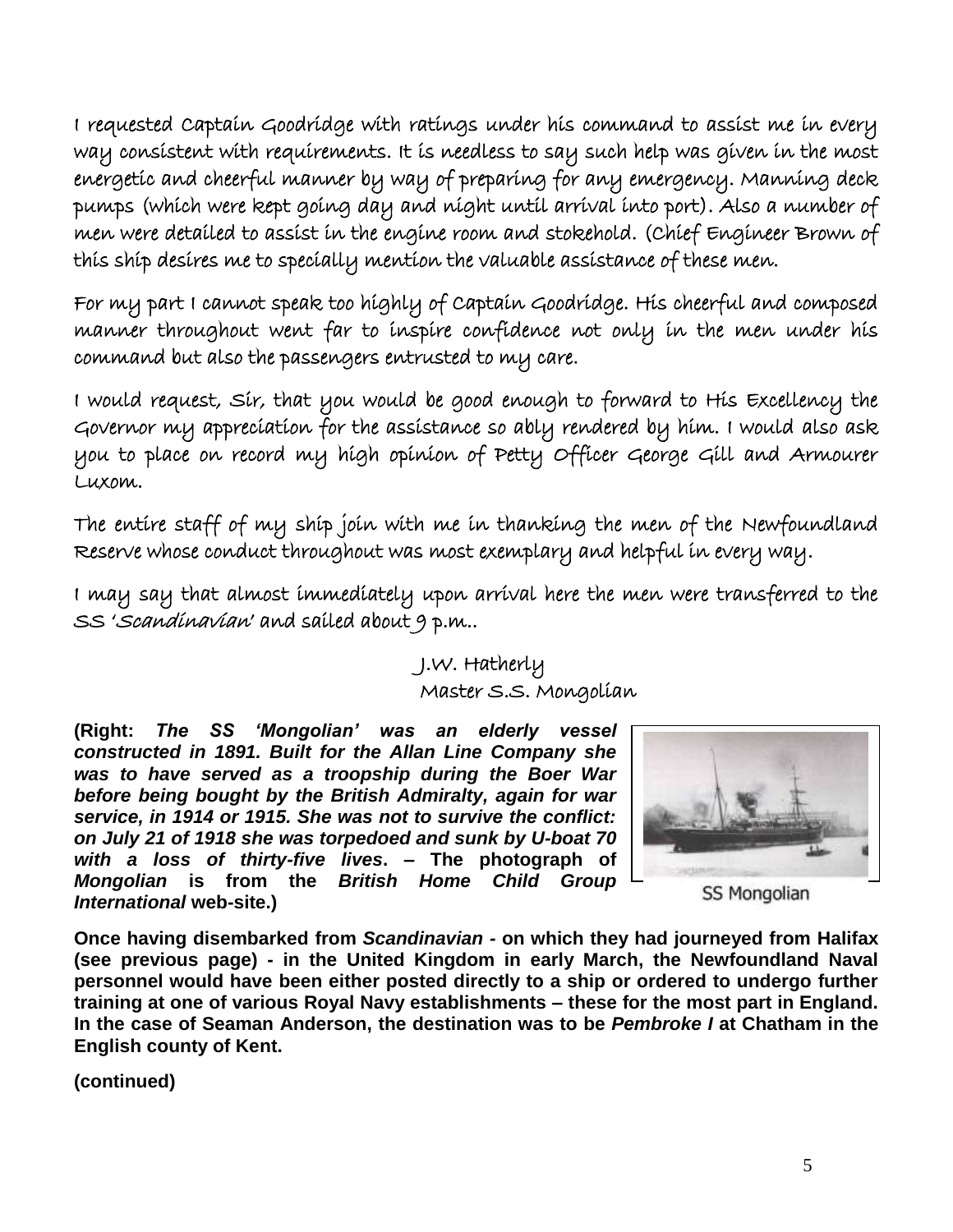I requested Captain Goodridge with ratings under his command to assist me in every way consistent with requirements. It is needless to say such help was given in the most energetic and cheerful manner by way of preparing for any emergency. Manning deck pumps (which were kept going day and night until arrival into port). Also a number of men were detailed to assist in the engine room and stokehold. (Chief Engineer Brown of this ship desires me to specially mention the valuable assistance of these men.

For my part I cannot speak too highly of Captain Goodridge. His cheerful and composed manner throughout went far to inspire confidence not only in the men under his command but also the passengers entrusted to my care.

I would request, Sir, that you would be good enough to forward to His Excellency the Governor my appreciation for the assistance so ably rendered by him. I would also ask you to place on record my high opinion of Petty Officer George Gill and Armourer Luxom.

The entire staff of my ship join with me in thanking the men of the Newfoundland Reserve whose conduct throughout was most exemplary and helpful in every way.

I may say that almost immediately upon arrival here the men were transferred to the SS 'Scandinavian' and sailed about 9 p.m..

> J.W. Hatherly Master S.S. Mongolian

**(Right:** *The SS 'Mongolian' was an elderly vessel constructed in 1891. Built for the Allan Line Company she was to have served as a troopship during the Boer War before being bought by the British Admiralty, again for war service, in 1914 or 1915. She was not to survive the conflict: on July 21 of 1918 she was torpedoed and sunk by U-boat 70 with a loss of thirty-five lives***. – The photograph of**  *Mongolian* **is from the** *British Home Child Group International* **web-site.)**



SS Mongolian

**Once having disembarked from** *Scandinavian -* **on which they had journeyed from Halifax (see previous page) - in the United Kingdom in early March, the Newfoundland Naval personnel would have been either posted directly to a ship or ordered to undergo further training at one of various Royal Navy establishments – these for the most part in England. In the case of Seaman Anderson, the destination was to be** *Pembroke I* **at Chatham in the English county of Kent.**

**(continued)**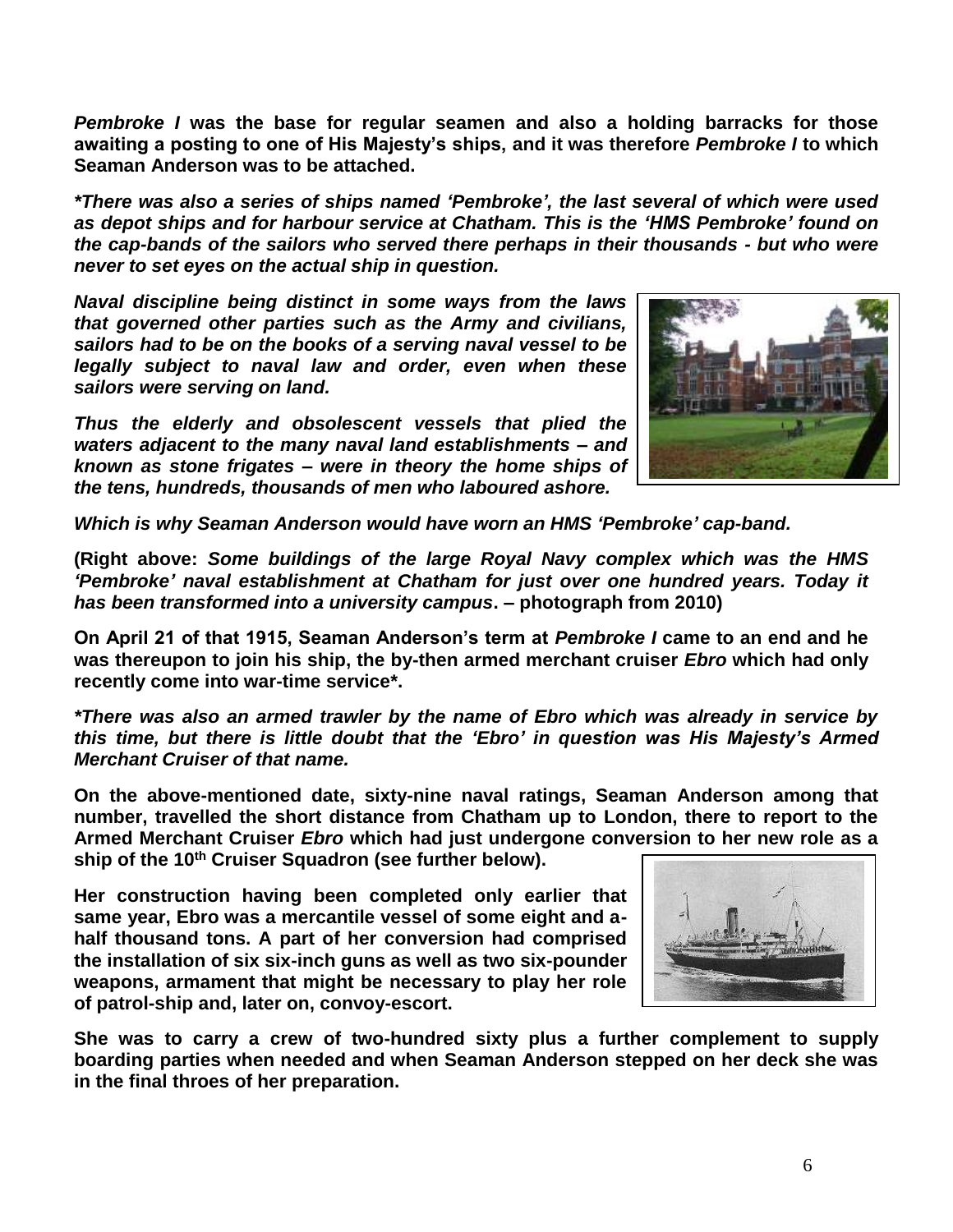*Pembroke I* **was the base for regular seamen and also a holding barracks for those awaiting a posting to one of His Majesty's ships, and it was therefore** *Pembroke I* **to which Seaman Anderson was to be attached.**

*\*There was also a series of ships named 'Pembroke', the last several of which were used as depot ships and for harbour service at Chatham. This is the 'HMS Pembroke' found on the cap-bands of the sailors who served there perhaps in their thousands - but who were never to set eyes on the actual ship in question.*

*Naval discipline being distinct in some ways from the laws that governed other parties such as the Army and civilians, sailors had to be on the books of a serving naval vessel to be legally subject to naval law and order, even when these sailors were serving on land.*

*Thus the elderly and obsolescent vessels that plied the waters adjacent to the many naval land establishments – and known as stone frigates – were in theory the home ships of the tens, hundreds, thousands of men who laboured ashore.*



*Which is why Seaman Anderson would have worn an HMS 'Pembroke' cap-band.*

**(Right above:** *Some buildings of the large Royal Navy complex which was the HMS 'Pembroke' naval establishment at Chatham for just over one hundred years. Today it has been transformed into a university campus***. – photograph from 2010)**

**On April 21 of that 1915, Seaman Anderson's term at** *Pembroke I* **came to an end and he was thereupon to join his ship, the by-then armed merchant cruiser** *Ebro* **which had only recently come into war-time service\*.**

*\*There was also an armed trawler by the name of Ebro which was already in service by this time, but there is little doubt that the 'Ebro' in question was His Majesty's Armed Merchant Cruiser of that name.*

**On the above-mentioned date, sixty-nine naval ratings, Seaman Anderson among that number, travelled the short distance from Chatham up to London, there to report to the Armed Merchant Cruiser** *Ebro* **which had just undergone conversion to her new role as a ship of the 10th Cruiser Squadron (see further below).**

**Her construction having been completed only earlier that same year, Ebro was a mercantile vessel of some eight and ahalf thousand tons. A part of her conversion had comprised the installation of six six-inch guns as well as two six-pounder weapons, armament that might be necessary to play her role of patrol-ship and, later on, convoy-escort.**



**She was to carry a crew of two-hundred sixty plus a further complement to supply boarding parties when needed and when Seaman Anderson stepped on her deck she was in the final throes of her preparation.**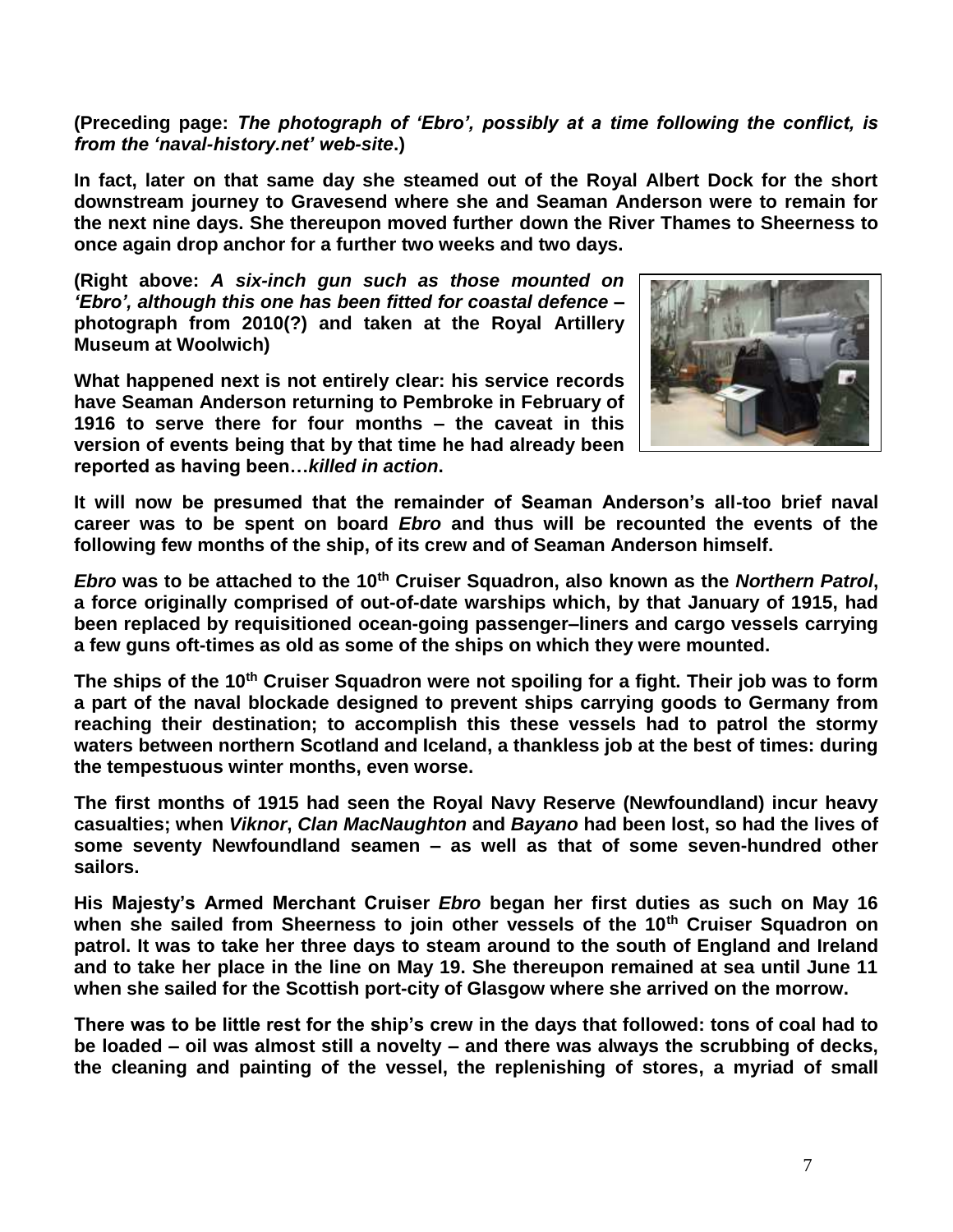**(Preceding page:** *The photograph of 'Ebro', possibly at a time following the conflict, is from the 'naval-history.net' web-site***.)**

**In fact, later on that same day she steamed out of the Royal Albert Dock for the short downstream journey to Gravesend where she and Seaman Anderson were to remain for the next nine days. She thereupon moved further down the River Thames to Sheerness to once again drop anchor for a further two weeks and two days.**

**(Right above:** *A six-inch gun such as those mounted on 'Ebro', although this one has been fitted for coastal defence* **– photograph from 2010(?) and taken at the Royal Artillery Museum at Woolwich)**

**What happened next is not entirely clear: his service records have Seaman Anderson returning to Pembroke in February of 1916 to serve there for four months – the caveat in this version of events being that by that time he had already been reported as having been…***killed in action***.** 



**It will now be presumed that the remainder of Seaman Anderson's all-too brief naval career was to be spent on board** *Ebro* **and thus will be recounted the events of the following few months of the ship, of its crew and of Seaman Anderson himself.**

*Ebro* **was to be attached to the 10th Cruiser Squadron, also known as the** *Northern Patrol***, a force originally comprised of out-of-date warships which, by that January of 1915, had been replaced by requisitioned ocean-going passenger–liners and cargo vessels carrying a few guns oft-times as old as some of the ships on which they were mounted.**

**The ships of the 10th Cruiser Squadron were not spoiling for a fight. Their job was to form a part of the naval blockade designed to prevent ships carrying goods to Germany from reaching their destination; to accomplish this these vessels had to patrol the stormy waters between northern Scotland and Iceland, a thankless job at the best of times: during the tempestuous winter months, even worse.** 

**The first months of 1915 had seen the Royal Navy Reserve (Newfoundland) incur heavy casualties; when** *Viknor***,** *Clan MacNaughton* **and** *Bayano* **had been lost, so had the lives of some seventy Newfoundland seamen – as well as that of some seven-hundred other sailors.**

**His Majesty's Armed Merchant Cruiser** *Ebro* **began her first duties as such on May 16 when she sailed from Sheerness to join other vessels of the 10th Cruiser Squadron on patrol. It was to take her three days to steam around to the south of England and Ireland and to take her place in the line on May 19. She thereupon remained at sea until June 11 when she sailed for the Scottish port-city of Glasgow where she arrived on the morrow.** 

**There was to be little rest for the ship's crew in the days that followed: tons of coal had to be loaded – oil was almost still a novelty – and there was always the scrubbing of decks, the cleaning and painting of the vessel, the replenishing of stores, a myriad of small**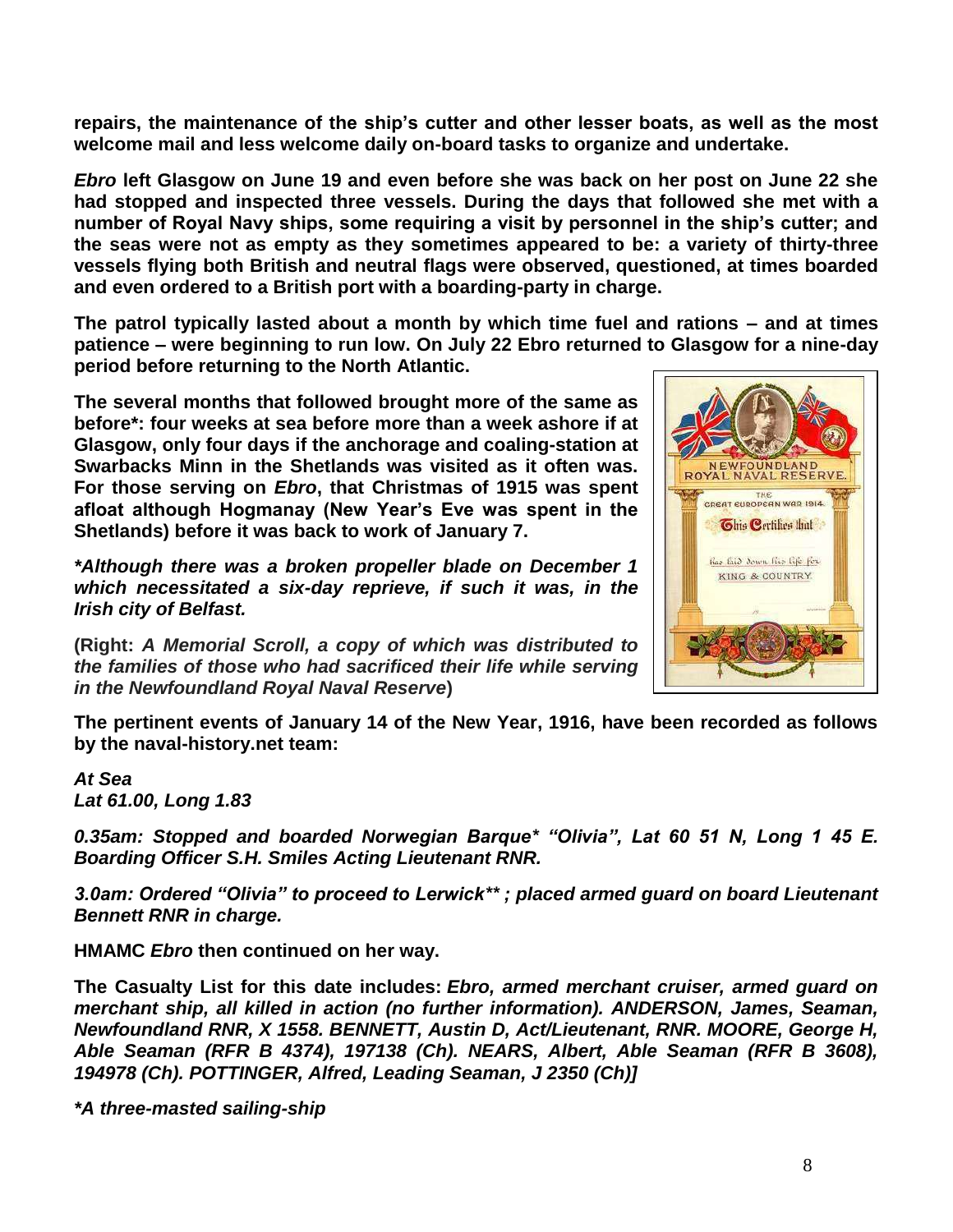**repairs, the maintenance of the ship's cutter and other lesser boats, as well as the most welcome mail and less welcome daily on-board tasks to organize and undertake.** 

*Ebro* **left Glasgow on June 19 and even before she was back on her post on June 22 she had stopped and inspected three vessels. During the days that followed she met with a number of Royal Navy ships, some requiring a visit by personnel in the ship's cutter; and the seas were not as empty as they sometimes appeared to be: a variety of thirty-three vessels flying both British and neutral flags were observed, questioned, at times boarded and even ordered to a British port with a boarding-party in charge.**

**The patrol typically lasted about a month by which time fuel and rations – and at times patience – were beginning to run low. On July 22 Ebro returned to Glasgow for a nine-day period before returning to the North Atlantic.**

**The several months that followed brought more of the same as before\*: four weeks at sea before more than a week ashore if at Glasgow, only four days if the anchorage and coaling-station at Swarbacks Minn in the Shetlands was visited as it often was. For those serving on** *Ebro***, that Christmas of 1915 was spent afloat although Hogmanay (New Year's Eve was spent in the Shetlands) before it was back to work of January 7.**

*\*Although there was a broken propeller blade on December 1 which necessitated a six-day reprieve, if such it was, in the Irish city of Belfast.* 

**(Right:** *A Memorial Scroll, a copy of which was distributed to the families of those who had sacrificed their life while serving in the Newfoundland Royal Naval Reserve***)**



**The pertinent events of January 14 of the New Year, 1916, have been recorded as follows by the naval-history.net team:** 

*At Sea Lat 61.00, Long 1.83*

*0.35am: Stopped and boarded Norwegian Barque\* "Olivia", Lat 60 51 N, Long 1 45 E. Boarding Officer S.H. Smiles Acting Lieutenant RNR.*

*3.0am: Ordered "Olivia" to proceed to Lerwick\*\* ; placed armed guard on board Lieutenant Bennett RNR in charge.*

**HMAMC** *Ebro* **then continued on her way.**

**The Casualty List for this date includes:** *Ebro, armed merchant cruiser, armed guard on merchant ship, all killed in action (no further information). ANDERSON, James, Seaman, Newfoundland RNR, X 1558. BENNETT, Austin D, Act/Lieutenant, RNR. MOORE, George H, Able Seaman (RFR B 4374), 197138 (Ch). NEARS, Albert, Able Seaman (RFR B 3608), 194978 (Ch). POTTINGER, Alfred, Leading Seaman, J 2350 (Ch)]*

*\*A three-masted sailing-ship*